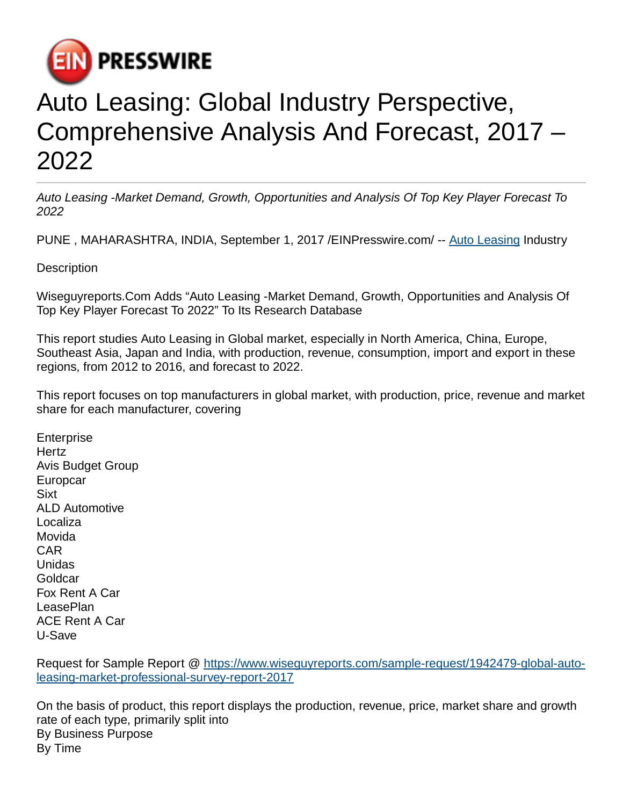

## Auto Leasing: Global Industry Perspective, Comprehensive Analysis And Forecast, 2017 – 2022

Auto Leasing -Market Demand, Growth, Opportunities and Analysis Of Top Key Player Forecast To 2022

PUNE , MAHARASHTRA, INDIA, September 1, 2017 [/EINPresswire.com/](http://www.einpresswire.com) -- [Auto Leasing](https://www.wiseguyreports.com/sample-request/1942479-global-auto-leasing-market-professional-survey-report-2017) Industry

**Description** 

Wiseguyreports.Com Adds "Auto Leasing -Market Demand, Growth, Opportunities and Analysis Of Top Key Player Forecast To 2022" To Its Research Database

This report studies Auto Leasing in Global market, especially in North America, China, Europe, Southeast Asia, Japan and India, with production, revenue, consumption, import and export in these regions, from 2012 to 2016, and forecast to 2022.

This report focuses on top manufacturers in global market, with production, price, revenue and market share for each manufacturer, covering

**Enterprise** Hertz Avis Budget Group Europcar Sixt ALD Automotive Localiza Movida CAR Unidas Goldcar Fox Rent A Car LeasePlan ACE Rent A Car U-Save

Request for Sample Report @ [https://www.wiseguyreports.com/sample-request/1942479-global-auto](https://www.wiseguyreports.com/sample-request/1942479-global-auto-leasing-market-professional-survey-report-2017)[leasing-market-professional-survey-report-2017](https://www.wiseguyreports.com/sample-request/1942479-global-auto-leasing-market-professional-survey-report-2017)

On the basis of product, this report displays the production, revenue, price, market share and growth rate of each type, primarily split into By Business Purpose By Time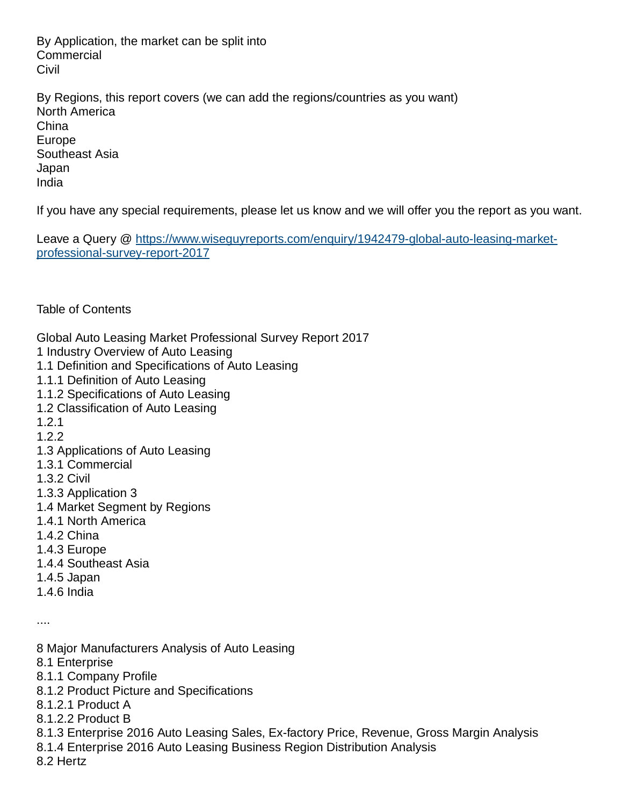By Application, the market can be split into **Commercial Civil** 

By Regions, this report covers (we can add the regions/countries as you want) North America China Europe Southeast Asia Japan India

If you have any special requirements, please let us know and we will offer you the report as you want.

Leave a Query @ [https://www.wiseguyreports.com/enquiry/1942479-global-auto-leasing-market](https://www.wiseguyreports.com/enquiry/1942479-global-auto-leasing-market-professional-survey-report-2017)[professional-survey-report-2017](https://www.wiseguyreports.com/enquiry/1942479-global-auto-leasing-market-professional-survey-report-2017)

Table of Contents

Global Auto Leasing Market Professional Survey Report 2017

- 1 Industry Overview of Auto Leasing
- 1.1 Definition and Specifications of Auto Leasing
- 1.1.1 Definition of Auto Leasing
- 1.1.2 Specifications of Auto Leasing
- 1.2 Classification of Auto Leasing
- 1.2.1
- 1.2.2
- 1.3 Applications of Auto Leasing
- 1.3.1 Commercial
- 1.3.2 Civil
- 1.3.3 Application 3
- 1.4 Market Segment by Regions
- 1.4.1 North America
- 1.4.2 China
- 1.4.3 Europe
- 1.4.4 Southeast Asia
- 1.4.5 Japan
- 1.4.6 India

....

- 8 Major Manufacturers Analysis of Auto Leasing
- 8.1 Enterprise
- 8.1.1 Company Profile
- 8.1.2 Product Picture and Specifications
- 8.1.2.1 Product A
- 8.1.2.2 Product B
- 8.1.3 Enterprise 2016 Auto Leasing Sales, Ex-factory Price, Revenue, Gross Margin Analysis
- 8.1.4 Enterprise 2016 Auto Leasing Business Region Distribution Analysis
- 8.2 Hertz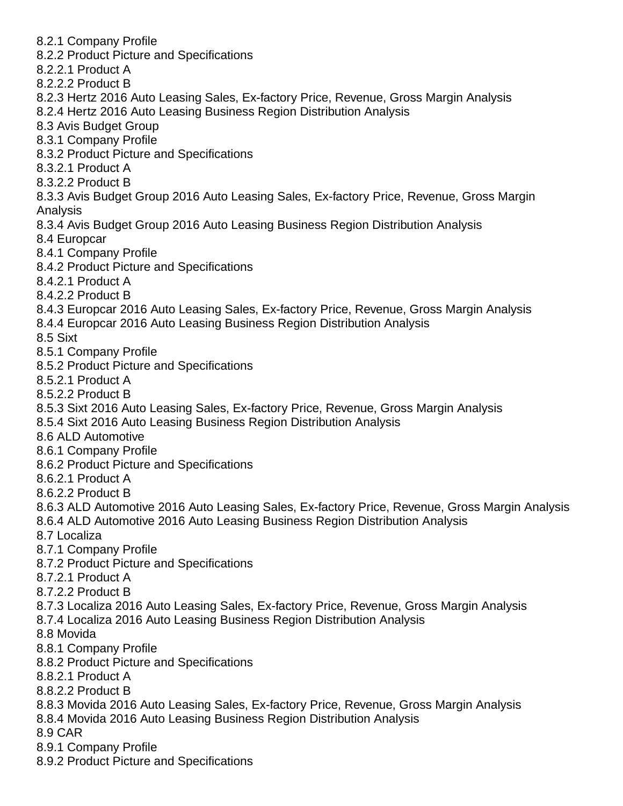- 8.2.1 Company Profile
- 8.2.2 Product Picture and Specifications
- 8.2.2.1 Product A
- 8.2.2.2 Product B
- 8.2.3 Hertz 2016 Auto Leasing Sales, Ex-factory Price, Revenue, Gross Margin Analysis
- 8.2.4 Hertz 2016 Auto Leasing Business Region Distribution Analysis
- 8.3 Avis Budget Group
- 8.3.1 Company Profile
- 8.3.2 Product Picture and Specifications
- 8.3.2.1 Product A
- 8.3.2.2 Product B
- 8.3.3 Avis Budget Group 2016 Auto Leasing Sales, Ex-factory Price, Revenue, Gross Margin Analysis
- 8.3.4 Avis Budget Group 2016 Auto Leasing Business Region Distribution Analysis
- 8.4 Europcar
- 8.4.1 Company Profile
- 8.4.2 Product Picture and Specifications
- 8.4.2.1 Product A
- 8.4.2.2 Product B
- 8.4.3 Europcar 2016 Auto Leasing Sales, Ex-factory Price, Revenue, Gross Margin Analysis
- 8.4.4 Europcar 2016 Auto Leasing Business Region Distribution Analysis
- 8.5 Sixt
- 8.5.1 Company Profile
- 8.5.2 Product Picture and Specifications
- 8.5.2.1 Product A
- 8.5.2.2 Product B
- 8.5.3 Sixt 2016 Auto Leasing Sales, Ex-factory Price, Revenue, Gross Margin Analysis
- 8.5.4 Sixt 2016 Auto Leasing Business Region Distribution Analysis
- 8.6 ALD Automotive
- 8.6.1 Company Profile
- 8.6.2 Product Picture and Specifications
- 8.6.2.1 Product A
- 8.6.2.2 Product B
- 8.6.3 ALD Automotive 2016 Auto Leasing Sales, Ex-factory Price, Revenue, Gross Margin Analysis
- 8.6.4 ALD Automotive 2016 Auto Leasing Business Region Distribution Analysis
- 8.7 Localiza
- 8.7.1 Company Profile
- 8.7.2 Product Picture and Specifications
- 8.7.2.1 Product A
- 8.7.2.2 Product B
- 8.7.3 Localiza 2016 Auto Leasing Sales, Ex-factory Price, Revenue, Gross Margin Analysis
- 8.7.4 Localiza 2016 Auto Leasing Business Region Distribution Analysis
- 8.8 Movida
- 8.8.1 Company Profile
- 8.8.2 Product Picture and Specifications
- 8.8.2.1 Product A
- 8.8.2.2 Product B
- 8.8.3 Movida 2016 Auto Leasing Sales, Ex-factory Price, Revenue, Gross Margin Analysis
- 8.8.4 Movida 2016 Auto Leasing Business Region Distribution Analysis
- 8.9 CAR
- 8.9.1 Company Profile
- 8.9.2 Product Picture and Specifications